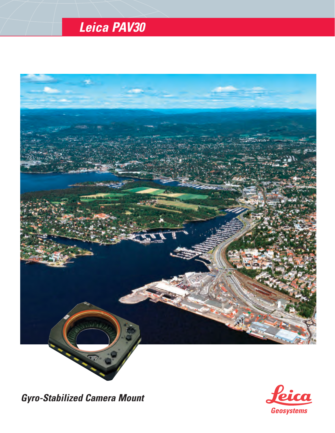# *Leica PAV30*



*Gyro-Stabilized Camera Mount*

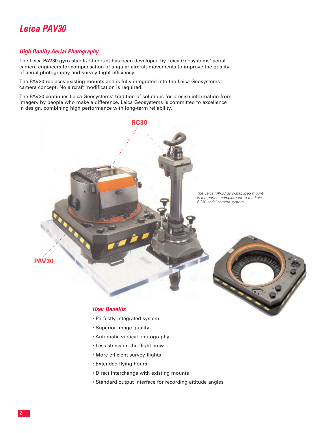

#### *High Quality Aerial Photography*

The Leica PAV30 gyro-stabilized mount has been developed by Leica Geosystems' aerial camera engineers for compensation of angular aircraft movements to improve the quality of aerial photography and survey flight efficiency.

The PAV30 replaces existing mounts and is fully integrated into the Leica Geosystems camera concept. No aircraft modification is required.

The PAV30 continues Leica Geosystems' tradition of solutions for precise information from imagery by people who make a difference. Leica Geosystems is committed to excellence in design, combining high performance with long-term reliability.



- Perfectly integrated system
- Superior image quality
- Automatic vertical photography
- Less stress on the flight crew
- More efficient survey flights
- Extended flying hours
- Direct interchange with existing mounts
- Standard output interface for recording attitude angles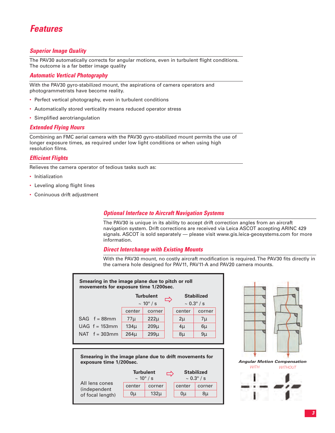## *Features*

### *Superior Image Quality*

The PAV30 automatically corrects for angular motions, even in turbulent flight conditions. The outcome is a far better image quality

#### *Automatic Vertical Photography*

With the PAV30 gyro-stabilized mount, the aspirations of camera operators and photogrammetrists have become reality.

- Perfect vertical photography, even in turbulent conditions
- Automatically stored verticality means reduced operator stress
- Simplified aerotriangulation

#### *Extended Flying Hours*

Combining an FMC aerial camera with the PAV30 gyro-stabilized mount permits the use of longer exposure times, as required under low light conditions or when using high resolution films.

### *Efficient Flights*

Relieves the camera operator of tedious tasks such as:

- Initialization
- Leveling along flight lines
- Coninuous drift adjustment

#### *Optional Interface to Aircraft Navigation Systems*

The PAV30 is unique in its ability to accept drift correction angles from an aircraft navigation system. Drift corrections are received via Leica ASCOT accepting ARINC 429 signals. ASCOT is sold separately — please visit www.gis.leica-geosystems.com for more information.

#### *Direct Interchange with Existing Mounts*

With the PAV30 mount, no costly aircraft modification is required. The PAV30 fits directly in the camera hole designed for PAV11, PAV11-A and PAV20 camera mounts.

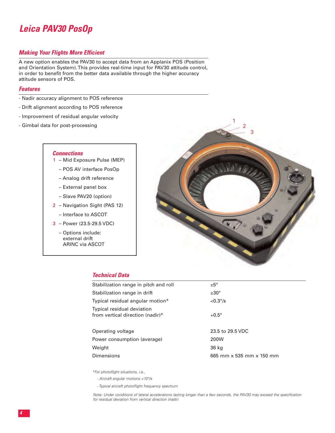# *Leica PAV30 PosOp*

#### *Making Your Flights More Efficient*

A new option enables the PAV30 to accept data from an Applanix POS (Position and Orientation System). This provides real-time input for PAV30 attitude control, in order to benefit from the better data available through the higher accuracy attitude sensors of POS.

#### *Features*

- Nadir accuracy alignment to POS reference
- Drift alignment according to POS reference
- Improvement of residual angular velocity
- Gimbal data for post-processing

#### *Connections*

- Mid Exposure Pulse (MEP) 1
	- POS AV interface PosOp
	- Analog drift reference
	- External panel box
	- Slave PAV20 (option)
- 2 Navigation Sight (PAS 12)
	- Interface to ASCOT
- Power (23.5-29.5 VDC) 3
	- Options include: external drift ARINC via ASCOT



#### *Technical Data*

| Stabilization range in pitch and roll                          | $±5^\circ$               |
|----------------------------------------------------------------|--------------------------|
| Stabilization range in drift                                   | $±30^{\circ}$            |
| Typical residual angular motion*                               | $< 0.3^{\circ}/s$        |
| Typical residual deviation<br>from vertical direction (nadir)* | $+0.5^\circ$             |
| Operating voltage                                              | 23.5 to 29.5 VDC         |
| Power consumption (average)                                    | 200W                     |
| Weight                                                         | 36 kg                    |
| Dimensions                                                     | 665 mm x 535 mm x 150 mm |

*\*For photoflight situations, i.e.,*

- *Aircraft angular motions <10°/s*
- *Typical aircraft photoflight frequency spectrum*

*Note: Under conditions of lateral accelerations lasting longer than a few seconds, the PAV30 may exceed the specification for residual deviation from vertical direction (nadir)*